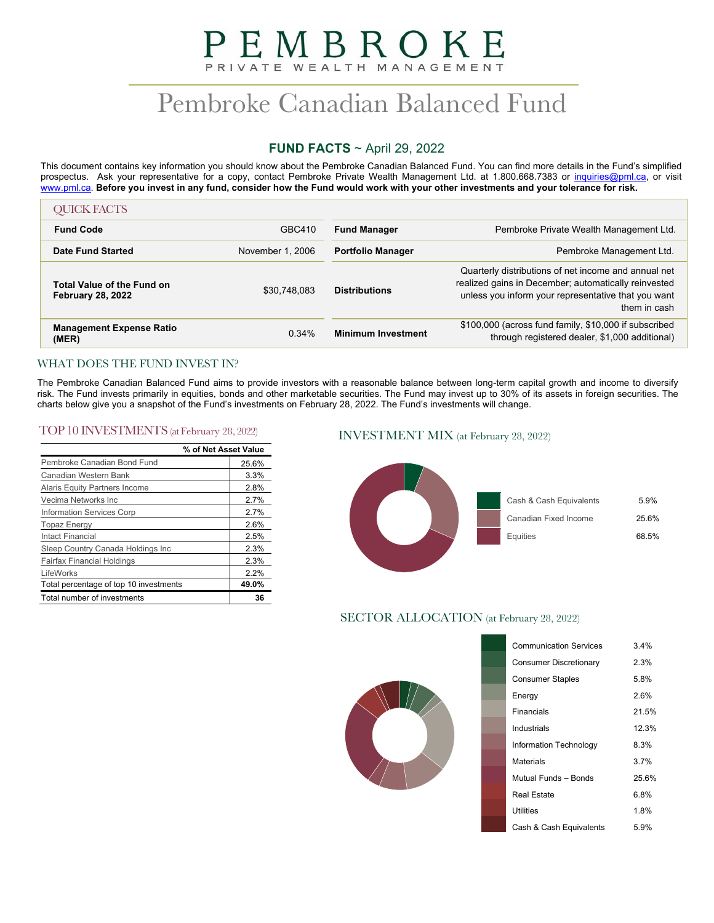# PEMBROKE PRIVATE WEALTH MANAGEMENT

# Pembroke Canadian Balanced Fund

# **FUND FACTS** ~ April 29, 2022

This document contains key information you should know about the Pembroke Canadian Balanced Fund. You can find more details in the Fund's simplified prospectus. Ask your representative for a copy, contact Pembroke Private Wealth Management Ltd. at 1.800.668.7383 or inquiries@pml.ca, or visit www.pml.ca. **Before you invest in any fund, consider how the Fund would work with your other investments and your tolerance for risk.** 

| <b>OUICK FACTS</b>                                            |                  |                           |                                                                                                                                                                                     |
|---------------------------------------------------------------|------------------|---------------------------|-------------------------------------------------------------------------------------------------------------------------------------------------------------------------------------|
| <b>Fund Code</b>                                              | GBC410           | <b>Fund Manager</b>       | Pembroke Private Wealth Management Ltd.                                                                                                                                             |
| <b>Date Fund Started</b>                                      | November 1, 2006 | <b>Portfolio Manager</b>  | Pembroke Management Ltd.                                                                                                                                                            |
| <b>Total Value of the Fund on</b><br><b>February 28, 2022</b> | \$30.748.083     | <b>Distributions</b>      | Quarterly distributions of net income and annual net<br>realized gains in December; automatically reinvested<br>unless you inform your representative that you want<br>them in cash |
| <b>Management Expense Ratio</b><br>(MER)                      | 0.34%            | <b>Minimum Investment</b> | \$100,000 (across fund family, \$10,000 if subscribed<br>through registered dealer, \$1,000 additional)                                                                             |

# WHAT DOES THE FUND INVEST IN?

The Pembroke Canadian Balanced Fund aims to provide investors with a reasonable balance between long-term capital growth and income to diversify risk. The Fund invests primarily in equities, bonds and other marketable securities. The Fund may invest up to 30% of its assets in foreign securities. The charts below give you a snapshot of the Fund's investments on February 28, 2022. The Fund's investments will change.

# TOP 10 INVESTMENTS (at February 28, 2022) INVESTMENT MIX (at February 28, 2022)

|                                        | % of Net Asset Value |
|----------------------------------------|----------------------|
| Pembroke Canadian Bond Fund            | 25.6%                |
| Canadian Western Bank                  | 3.3%                 |
| Alaris Equity Partners Income          | 2.8%                 |
| Vecima Networks Inc                    | 2.7%                 |
| Information Services Corp              | 2.7%                 |
| <b>Topaz Energy</b>                    | 2.6%                 |
| <b>Intact Financial</b>                | 2.5%                 |
| Sleep Country Canada Holdings Inc      | 2.3%                 |
| <b>Fairfax Financial Holdings</b>      | 2.3%                 |
| LifeWorks                              | 22%                  |
| Total percentage of top 10 investments | 49.0%                |
| Total number of investments            | 36                   |



# SECTOR ALLOCATION (at February 28, 2022)

| <b>Communication Services</b> | 3.4%  |
|-------------------------------|-------|
| Consumer Discretionary        | 2.3%  |
| <b>Consumer Staples</b>       | 5.8%  |
| Energy                        | 2.6%  |
| Financials                    | 21.5% |
| Industrials                   | 12.3% |
| Information Technology        | 8.3%  |
| Materials                     | 3.7%  |
| Mutual Funds - Bonds          | 25.6% |
| Real Estate                   | 6.8%  |
| Utilities                     | 18%   |
| Cash & Cash Equivalents       | 5.9%  |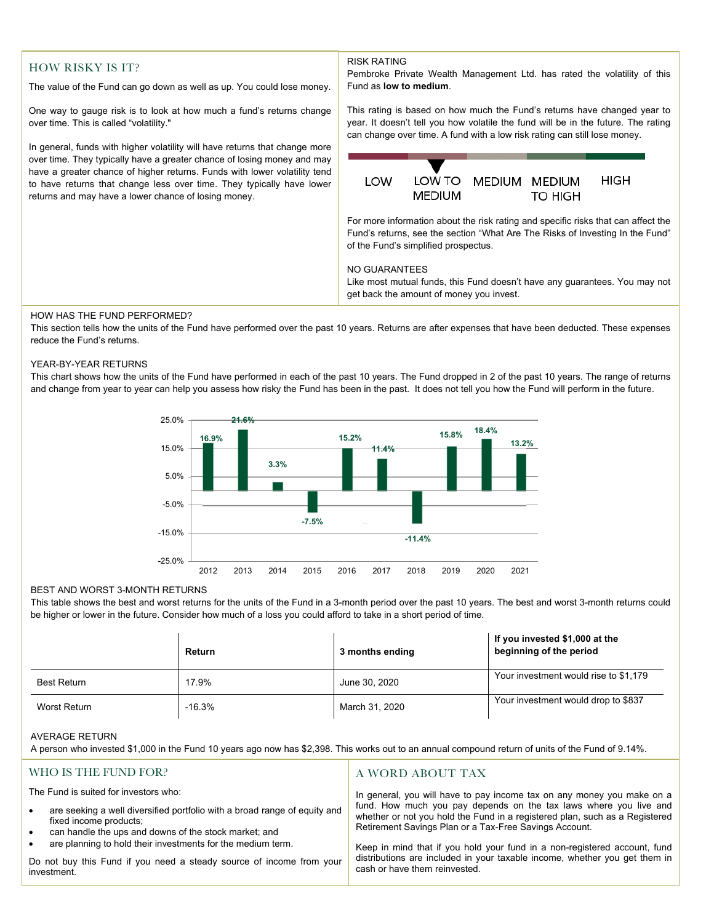# HOW RISKY IS IT?

The value of the Fund can go down as well as up. You could lose money.

One way to gauge risk is to look at how much a fund's returns change over time. This is called "volatility."

 have a greater chance of higher returns. Funds with lower volatility tend In general, funds with higher volatility will have returns that change more over time. They typically have a greater chance of losing money and may to have returns that change less over time. They typically have lower returns and may have a lower chance of losing money.

RISK RATING

Pembroke Private Wealth Management Ltd. has rated the volatility of this Fund as **low to medium**. This rating is based on how much the Fund's returns have changed year to year. It doesn't tell you how volatile the fund will be in the future. The rating can change over time. A fund with a low risk rating can still lose money. LOW TO **HIGH** LOW MEDIUM MEDIUM **MEDIUM TO HIGH** For more information about the risk rating and specific risks that can affect the Fund's returns, see the section "What Are The Risks of Investing In the Fund" of the Fund's simplified prospectus. NO GUARANTEES Like most mutual funds, this Fund doesn't have any guarantees. You may not

#### HOW HAS THE FUND PERFORMED?

This section tells how the units of the Fund have performed over the past 10 years. Returns are after expenses that have been deducted. These expenses reduce the Fund's returns.

get back the amount of money you invest.

#### YEAR-BY-YEAR RETURNS

This chart shows how the units of the Fund have performed in each of the past 10 years. The Fund dropped in 2 of the past 10 years. The range of returns and change from year to year can help you assess how risky the Fund has been in the past. It does not tell you how the Fund will perform in the future.



#### BEST AND WORST 3-MONTH RETURNS

This table shows the best and worst returns for the units of the Fund in a 3-month period over the past 10 years. The best and worst 3-month returns could be higher or lower in the future. Consider how much of a loss you could afford to take in a short period of time.

|              | <b>Return</b> | 3 months ending | If you invested \$1,000 at the<br>beginning of the period |
|--------------|---------------|-----------------|-----------------------------------------------------------|
| Best Return  | 17.9%         | June 30, 2020   | Your investment would rise to \$1,179                     |
| Worst Return | $-16.3%$      | March 31, 2020  | Your investment would drop to \$837                       |

### AVERAGE RETURN

| A person who invested \$1,000 in the Fund 10 years ago now has \$2,398. This works out to an annual compound return of units of the Fund of 9.14%. |  |
|----------------------------------------------------------------------------------------------------------------------------------------------------|--|
|----------------------------------------------------------------------------------------------------------------------------------------------------|--|

| WHO IS THE FUND FOR?                                                                                                                                                                                                                                                                                                                                                                               | A WORD ABOUT TAX                                                                                                                                                                                                                                                                                                                                                                                                                                                                 |
|----------------------------------------------------------------------------------------------------------------------------------------------------------------------------------------------------------------------------------------------------------------------------------------------------------------------------------------------------------------------------------------------------|----------------------------------------------------------------------------------------------------------------------------------------------------------------------------------------------------------------------------------------------------------------------------------------------------------------------------------------------------------------------------------------------------------------------------------------------------------------------------------|
| The Fund is suited for investors who:<br>are seeking a well diversified portfolio with a broad range of equity and<br>$\bullet$<br>fixed income products;<br>can handle the ups and downs of the stock market; and<br>$\bullet$<br>are planning to hold their investments for the medium term.<br>$\bullet$<br>Do not buy this Fund if you need a steady source of income from your<br>investment. | In general, you will have to pay income tax on any money you make on a<br>fund. How much you pay depends on the tax laws where you live and<br>whether or not you hold the Fund in a registered plan, such as a Registered<br>Retirement Savings Plan or a Tax-Free Savings Account.<br>Keep in mind that if you hold your fund in a non-registered account, fund<br>distributions are included in your taxable income, whether you get them in<br>cash or have them reinvested. |